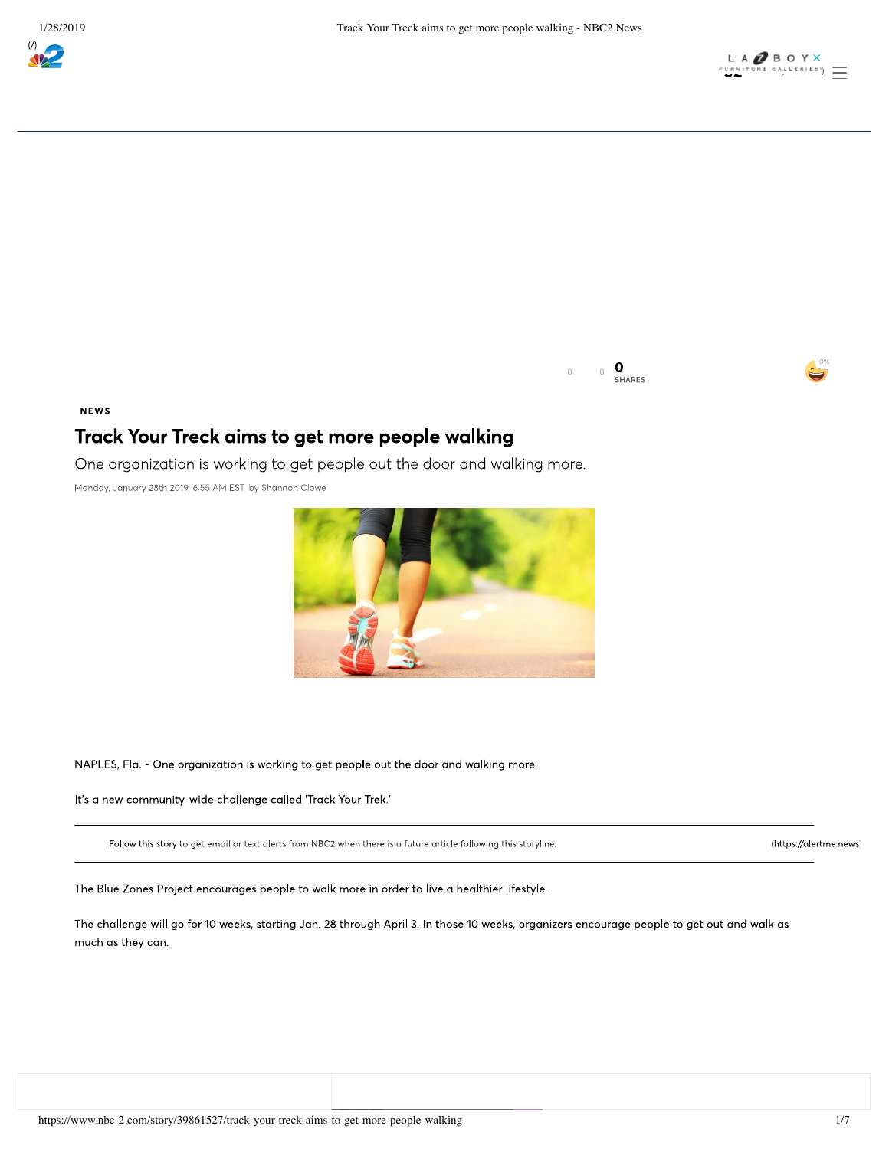



 $\overline{0}$  $\circ$ SHARES

## **NEWS**

## Track Your Treck aims to get more people walking

One organization is working to get people out the door and walking more.

Monday, January 28th 2019, 6:55 AM EST by Shannon Clowe



NAPLES, Fla. - One organization is working to get people out the door and walking more.

It's a new community-wide challenge called 'Track Your Trek.'

Follow this story to get email or text alerts from NBC2 when there is a future article following this storyline.

(https://alertme.news)

The Blue Zones Project encourages people to walk more in order to live a healthier lifestyle.

The challenge will go for 10 weeks, starting Jan. 28 through April 3. In those 10 weeks, organizers encourage people to get out and walk as much as they can.